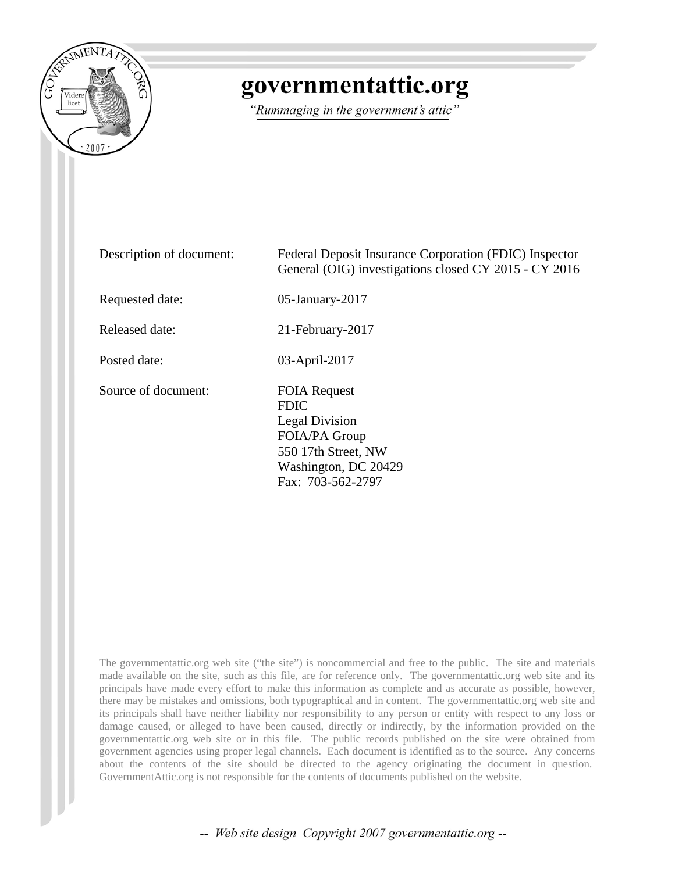

# governmentattic.org

"Rummaging in the government's attic"

Description of document: Federal Deposit Insurance Corporation (FDIC) Inspector General (OIG) investigations closed CY 2015 - CY 2016 Requested date: 05-January-2017 Released date: 21-February-2017 Posted date: 03-April-2017 Source of document: FOIA Request FDIC Legal Division FOIA/PA Group 550 17th Street, NW Washington, DC 20429 Fax: 703-562-2797

The governmentattic.org web site ("the site") is noncommercial and free to the public. The site and materials made available on the site, such as this file, are for reference only. The governmentattic.org web site and its principals have made every effort to make this information as complete and as accurate as possible, however, there may be mistakes and omissions, both typographical and in content. The governmentattic.org web site and its principals shall have neither liability nor responsibility to any person or entity with respect to any loss or damage caused, or alleged to have been caused, directly or indirectly, by the information provided on the governmentattic.org web site or in this file. The public records published on the site were obtained from government agencies using proper legal channels. Each document is identified as to the source. Any concerns about the contents of the site should be directed to the agency originating the document in question. GovernmentAttic.org is not responsible for the contents of documents published on the website.

-- Web site design Copyright 2007 governmentattic.org --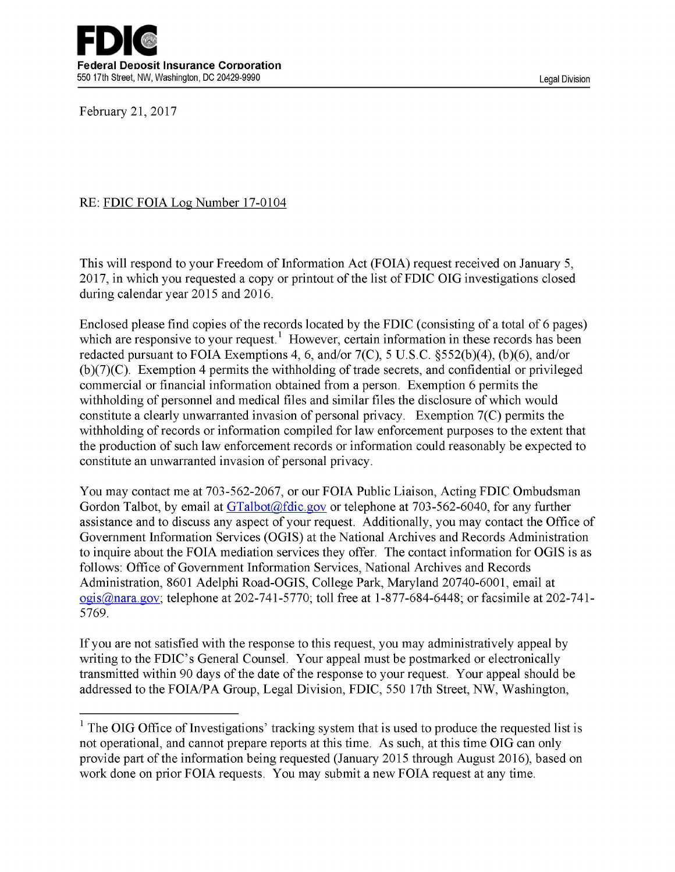

February 21, 2017

### RE: FDIC FOIA Log Number 17-0104

This will respond to your Freedom of Information Act (FOIA) request received on January 5, 2017, in which you requested a copy or printout of the list of FDIC OIG investigations closed during calendar year 2015 and 2016.

Enclosed please find copies of the records located by the FDIC (consisting of a total of 6 pages) which are responsive to your request.<sup>1</sup> However, certain information in these records has been redacted pursuant to FOIA Exemptions 4, 6, and/or 7(C), 5 U.S.C. §552(b)(4), (b)(6), and/or  $(b)(7)(C)$ . Exemption 4 permits the withholding of trade secrets, and confidential or privileged commercial or financial information obtained from a person. Exemption 6 permits the withholding of personnel and medical files and similar files the disclosure of which would constitute a clearly unwarranted invasion of personal privacy. Exemption 7(C) permits the withholding of records or information compiled for law enforcement purposes to the extent that the production of such law enforcement records or information could reasonably be expected to constitute an unwarranted invasion of personal privacy.

You may contact me at 703-562-2067, or our FOIA Public Liaison, Acting FDIC Ombudsman Gordon Talbot, by email at [GTalbot@fdic.gov](mailto:GTalbot@fdic.gov) or telephone at 703-562-6040, for any further assistance and to discuss any aspect of your request. Additionally, you may contact the Office of Government Information Services (OGIS) at the National Archives and Records Administration to inquire about the FOIA mediation services they offer. The contact information for OGIS is as follows: Office of Government Information Services, National Archives and Records Administration, 8601 Adelphi Road-OGIS, College Park, Maryland 20740-6001, email at [ogis@nara.gov](mailto:ogis@nara.gov); telephone at 202-741-5770; toll free at 1-877-684-6448; or facsimile at 202-741- 5769.

If you are not satisfied with the response to this request, you may administratively appeal by writing to the FDIC's General Counsel. Your appeal must be postmarked or electronically transmitted within 90 days of the date of the response to your request. Your appeal should be addressed to the FOIA/PA Group, Legal Division, FDIC, 550 17th Street, NW, Washington,

 $1$  The OIG Office of Investigations' tracking system that is used to produce the requested list is not operational, and cannot prepare reports at this time. As such, at this time OIG can only provide part of the information being requested (January 2015 through August 2016), based on work done on prior FOIA requests. You may submit a new FOIA request at any time.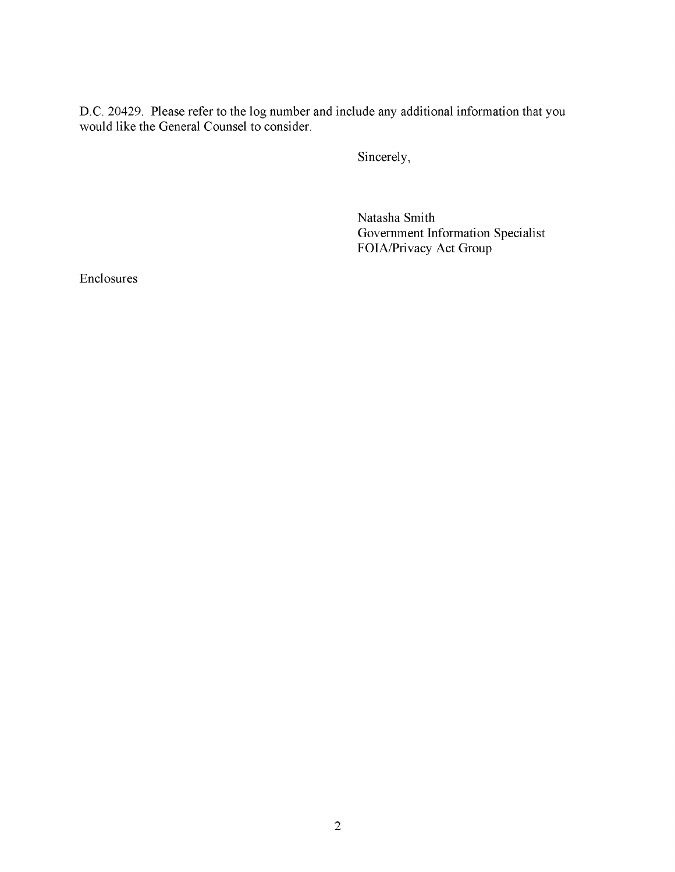D.C. 20429. Please refer to the log number and include any additional information that you would like the General Counsel to consider.

Sincerely,

Natasha Smith Government Information Specialist FOIA/Privacy Act Group

Enclosures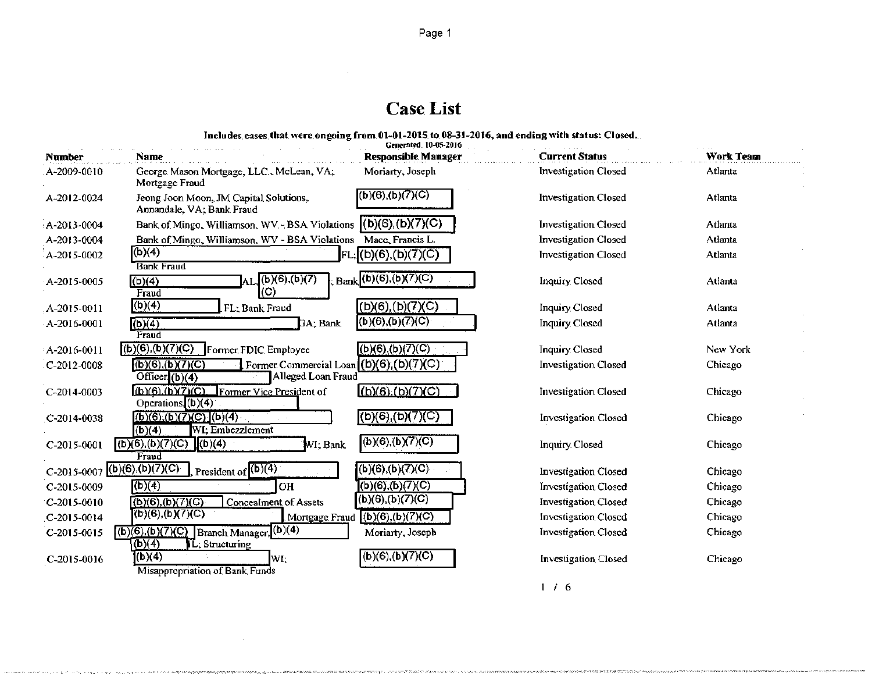## Case. List

Includes. cases. that were ongoing from 01-01-2015 to 08-31-2016, and ending with status: Closed...

| <b>Number</b> | Name                                                                                | Generated 10-05-2016<br><b>Responsible Manager</b> | <b>Current Status</b>       | <b>Work Team</b> |
|---------------|-------------------------------------------------------------------------------------|----------------------------------------------------|-----------------------------|------------------|
| A-2009-0010   | George Mason Mortgage, LLC., McLean, VA;<br>Mortgage Fraud                          | Moriarty, Joseph                                   | <b>Investigation Closed</b> | Atlanta          |
| A-2012-0024   | Jeong Joon Moon, JM Capital Solutions,<br>Annandale, VA; Bank Fraud                 | (b)(6),(b)(7)(C)                                   | <b>Investigation Closed</b> | Atlanta          |
| A-2013-0004   | Bank of Mingo, Williamson, WV - BSA Violations                                      | (b)(6),(b)(7)(C)                                   | <b>Investigation Closed</b> | Atlanta          |
| A-2013-0004   | Bank of Mingo, Williamson, WV - BSA Violations                                      | Mace, Francis L.                                   | <b>Investigation Closed</b> | Atlanta          |
| A-2015-0002   | (b)(4)<br><b>Bank Fraud</b>                                                         | [FL;](b)(6),(b)(7)(C)                              | <b>Investigation Closed</b> | Atlanta          |
| A-2015-0005   | $\text{AL}(\text{b})(6),(\text{b})(7)$<br>(b)(4)<br>(C)<br>Fraud                    | $_{\rm Bank}$ (b)(6),(b)(7)(C)                     | Inquiry Closed              | Atlanta          |
| A-2015-0011   | (b)(4)<br>FL: Bank Fraud                                                            | $(L)(6)$ , (b) (7) (C)                             | Inquiry Closed              | Atlanta          |
| A-2016-0001   | (b)(4)<br>GA; Bank<br>Fraud                                                         | (b)(6),(b)(7)(C)                                   | Inquiry Closed              | Atlanta          |
| A-2016-0011   | $(b)(6),(b)(7)(C)$ Former FDIC Employee                                             | (b)(6),(b)(7)(C)                                   | <b>Inquiry Closed</b>       | New York         |
| $C-2012-0008$ | (6)(6)(b)(7)(C)<br>Former Commercial Loan<br>Alleged Loan Fraud<br>Officer $(b)(4)$ | $(b)(6)$ , $(b)(7)(C)$                             | <b>Investigation Closed</b> | Chicago          |
| C-2014-0003   | (b)(6),(b)(7)(C),<br>Former Vice President of<br>Operations $(6)(4)$                | (b)(6), (b)(7)(C)                                  | <b>Investigation Closed</b> | Chicago          |
| $C-2014-0038$ | $(b)(6),(b)(7)(C)$ $(b)(4)$<br>(b)(4)<br>WI; Embezzlement                           | (b)(6),(b)(7)(C)                                   | <b>Investigation Closed</b> | Chicago          |
| C-2015-0001   | (b)(6),(b)(7)(C)<br>$\sqrt{(b)(4)}$<br>WI: Bank<br>Fraud                            | (b)(6),(b)(7)(C)                                   | Inquiry Closed              | Chicago          |
|               | C-2015-0007 (b)(6),(b)(7)(C)<br>President of $(1)(4)$                               | (b)(6),(b)(7)(C)                                   | <b>Investigation Closed</b> | Chicago          |
| C-2015-0009   | (b)(4)<br><b>OH</b>                                                                 | (b)(6),(b)(7)(C)                                   | <b>Investigation Closed</b> | Chicago          |
| $C-2015-0010$ | (b)(6),(b)(7)(C)<br><b>Concealment of Assets</b>                                    | (b)(6),(b)(7)(C)                                   | Investigation Closed        | Chicago          |
| $C-2015-0014$ | (b)(6),(b)(7)(C)<br>Mortgage Fraud                                                  | (b)(6),(b)(7)(C)                                   | <b>Investigation Closed</b> | Chicago          |
| $C-2015-0015$ | Branch Manager, (b)(4)<br>(b)(6),(b)(7)(C)<br><u>(b)(4)</u><br>Structuring          | Moriarty, Joseph                                   | <b>Investigation Closed</b> | Chicago          |
| C-2015-0016   | (b)(4)<br>WI;<br>Misappropriation of Bank Funds                                     | (b)(6),(b)(7)(C)                                   | <b>Investigation Closed</b> | Chicago          |

I I 6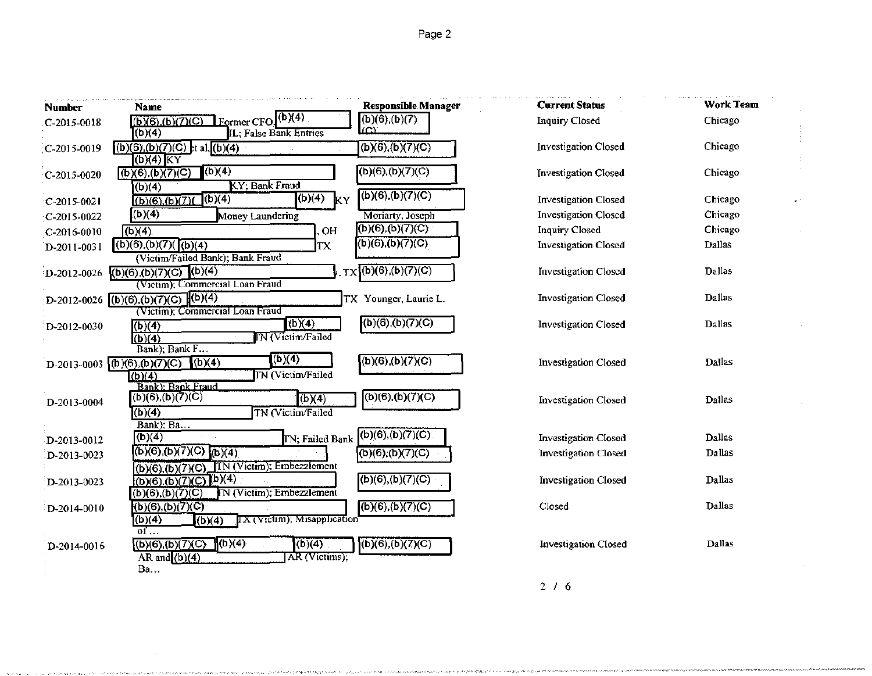| <b>Number</b> | Name                                                                                                                           | <b>Responsible Manager</b> | <b>Current Status</b>       | Work Team |
|---------------|--------------------------------------------------------------------------------------------------------------------------------|----------------------------|-----------------------------|-----------|
| C-2015-0018   | $Former$ CFO $\sqrt{(b)(4)}$<br>(b)(6), (b)(7)(C)                                                                              | $(b)(6)$ , $(b)(7)$        | Inquiry Closed              | Chicago   |
|               | (b)(4)<br>IL; False Bank Entries                                                                                               | m                          |                             |           |
| C-2015-0019   | $(b)(6)$ , $(b)(7)(C)$ <sub>2</sub> t al, $(b)(4)$                                                                             | (b)(6),(b)(7)(C)           | <b>Investigation Closed</b> | Chicago   |
| C-2015-0020   | $(b)(4)$ KY<br>(b)(4)<br>(b)(6)(b)(7)(C)<br>KY; Bank Fraud<br>(b)(4)                                                           | (b)(6),(b)(7)(C)           | Investigation Closed        | Chicago   |
| $C-2015-0021$ | $\sqrt{(b)(4)}$<br>$\sqrt{(\mathbf{b})(4)}$<br>(b)(6), (b)(7)(<br>KΥ                                                           | (b)(6),(b)(7)(C)           | <b>Investigation Closed</b> | Chicago   |
| C-2015-0022   | (b)(4)<br>Money Laundering                                                                                                     | Moriarty, Joseph           | <b>Investigation Closed</b> | Chicago   |
| C-2016-0010   | (b)(4)<br>OH                                                                                                                   | $(6)(6)$ ,(b)(7)(C)        | <b>Inquiry Closed</b>       | Chicago   |
| D-2011-0031   | (6)(6)(b)(7)((6)(4))<br>ТX<br>(Victim/Failed Bank); Bank Fraud                                                                 | (b)(6),(b)(7)(C)           | <b>Investigation Closed</b> | Dallas    |
| D-2012-0026   | $(b)(6)(b)(7)(c)$ (b)(4)<br>(Victim); Commercial Loan Fraud                                                                    | Tx(6)(6),(b)(7)(C)         | <b>Investigation Closed</b> | Dallas    |
|               | D-2012-0026 ((b)(6),(b)(7)(C) (b)(4)<br>(Victim); Commercial Loan Fraud                                                        | TX Younger, Laurie L.      | <b>Investigation Closed</b> | Dallas    |
| D-2012-0030   | (b)(4)<br>(b)(4)<br><b>IN</b> (Victim/Failed<br>(b)(4)                                                                         | (b)(6)(b)(7)(C)            | Investigation Closed        | Dallas    |
|               | Bank); Bank F<br>(b)(4)<br>(b)(4)<br>D-2013-0003 (b)(6),(b)(7)(C)<br><b>IN</b> (Victim/Failed<br>(b)(4)                        | $(b)(6)$ , $(b)(7)(C)$     | <b>Investigation Closed</b> | Dallas    |
| D-2013-0004   | <b>Bank)</b> : Bank Fraud<br>(b)(6),(b)(7)(C)<br>(b)(4)<br>(b)(4)<br>TN (Victim/Failed                                         | (b)(6),(b)(7)(C)           | <b>Investigation Closed</b> | Dallas    |
| D-2013-0012   | Bank); $Ba$<br>(b)(4)<br>IN; Failed Bank                                                                                       | (b)(6),(b)(7)(C)           | <b>Investigation Closed</b> | Dallas    |
| D-2013-0023   | (6)(6)(b)(7)(C)<br>(b)(4)                                                                                                      | (b)(6),(b)(7)(C)           | <b>Investigation Closed</b> | Dallas    |
| D-2013-0023   | TN (Victim): Embezzlement<br>(b)(6),(b)(7)(C)<br>(b)(6)(b)(7)(C)(b)(4)<br><b>IN (Victim); Embezzlement</b><br>(b)(6),(b)(7)(C) | (b)(6),(b)(7)(C)           | Investigation Closed        | Dallas    |
| D-2014-0010   | (b)(6),(b)(7)(C)<br>IX (Victim); Misapplication<br>(b)(4)<br>(b)(4)                                                            | (b)(6),(b)(7)(C)           | Closed                      | Dallas    |
| D-2014-0016   | of<br>$\sqrt{b(4)}$<br>(6)(6)(b)(7)(C)<br>(b)(4)<br>AR and $(b)(4)$<br>AR (Victims);                                           | (b)(6),(b)(7)(C)           | Investigation Closed        | Dallas    |
|               | Ba                                                                                                                             |                            |                             |           |

2 I 6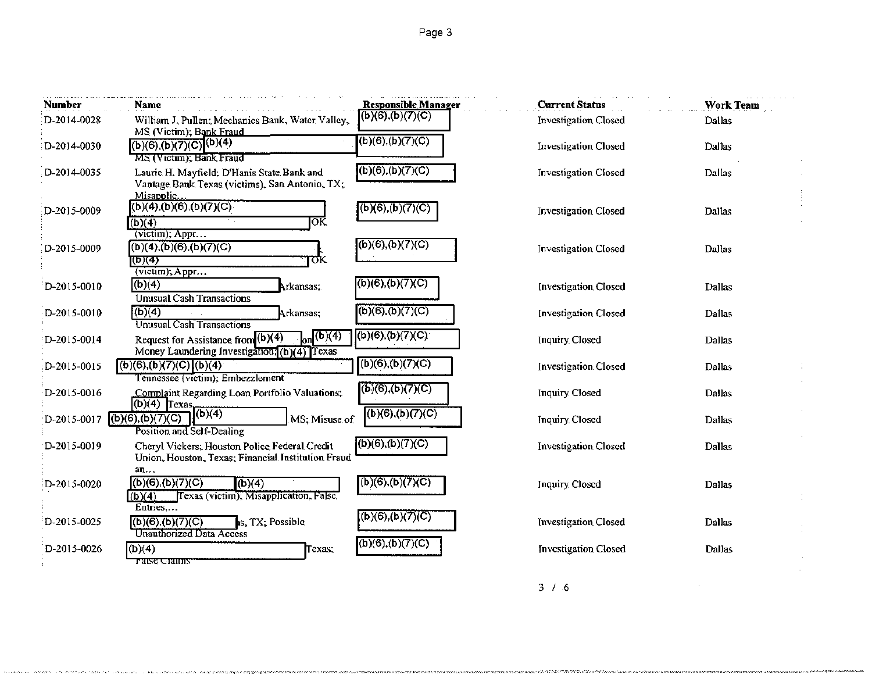| Number        | Name                                                                                                                                       | <b>Responsible Manager</b> | <b>Current Status</b>       | <b>Work Team</b> |
|---------------|--------------------------------------------------------------------------------------------------------------------------------------------|----------------------------|-----------------------------|------------------|
| D-2014-0028   | William J. Pullen; Mechanics Bank, Water Valley,<br>MS (Victim); Bank Fraud                                                                | (b)(6),(b)(7)(C)           | <b>Investigation Closed</b> | Dallas           |
| D-2014-0030   | (b)(6),(b)(7)(C) (b)(4)<br>MS (Victim); Bank Fraud                                                                                         | (b)(6),(b)(7)(C)           | <b>Investigation Closed</b> | Dallas           |
| D-2014-0035   | Laurie H. Mayfield; D'Hanis State Bank and<br>Vantage Bank Texas (victims), San Antonio, TX;<br>Misapplic                                  | (6)(6),(b)(7)(C)           | <b>Investigation Closed</b> | Dallas           |
| D-2015-0009   | (b)(4), (b)(6), (b)(7)(C)<br>ЮK<br>(b)(4)<br>(victim); Appr                                                                                | (b)(6),(b)(7)(C)           | <b>Investigation Closed</b> | Dallas           |
| D-2015-0009   | (b)(4), (b)(6), (b)(7)(C)<br>σκ<br>(b)(4)<br>(victim), Appr                                                                                | (b)(6),(b)(7)(C)           | <b>Investigation Closed</b> | Dallas           |
| $D-2015-0010$ | (b)(4)<br>Arkansas;<br><b>Unusual Cash Transactions</b>                                                                                    | (b)(6),(b)(7)(C)           | <b>Investigation Closed</b> | Dallas           |
| D-2015-0010   | (b)(4)<br>Arkansas;<br>Unusual Cash Transactions                                                                                           | (b)(6),(b)(7)(C)           | <b>Investigation Closed</b> | Dallas           |
| D-2015-0014   | $\int_{\Omega}$ (b)(4)<br>Request for Assistance from (b)(4)<br>Money Laundering Investigation; (b)(4) Texas                               | (6)(6),(b)(7)(C)           | <b>Inquiry Closed</b>       | Dallas           |
| D-2015-0015   | (6)(6),(b)(7)(C)(b)(4)<br>l'ennessee (victim); Embezzlement                                                                                | (b)(6),(b)(7)(C)           | <b>Investigation Closed</b> | Dallas           |
| D-2015-0016   | Complaint Regarding Loan Portfolio Valuations;<br>$\underbrace{(b)(4)}$ $\begin{bmatrix} \text{Cot}_{11} \\ \text{Cot}_{21} \end{bmatrix}$ | (b)(6),(b)(7)(C)           | <b>Inquiry Closed</b>       | <b>Dallas</b>    |
| $D-2015-0017$ | (b)(6), (b)(7)(C)<br>MS; Misuse of<br>Position and Self-Dealing                                                                            | (b)(6),(b)(7)(C)           | Inquiry Closed              | Dallas           |
| D-2015-0019   | Cheryl Vickers; Houston Police Federal Credit<br>Union, Houston, Texas; Financial Institution Fraud<br>an                                  | (b)(6),(b)(7)(C)           | <b>Investigation Closed</b> | <b>Dallas</b>    |
| D-2015-0020   | (6)(6)(b)(7)(C)<br>(b)(4)<br>[Texas (victim); Misapplication, False<br>(b)(4)<br>Entries                                                   | (b)(6),(b)(7)(C)           | <b>Inquiry Closed</b>       | Dallas           |
| D-2015-0025   | (b)(6),(b)(7)(C)<br>is, TX; Possible<br>Unauthorized Data Access                                                                           | (b)(6),(b)(7)(C)           | <b>Investigation Closed</b> | Dallas           |
| D-2015-0026   | (b)(4)<br>Texas;<br>raise Ciaims                                                                                                           | (b)(6),(b)(7)(C)           | <b>Investigation Closed</b> | Dallas           |

 $3 / 1.6$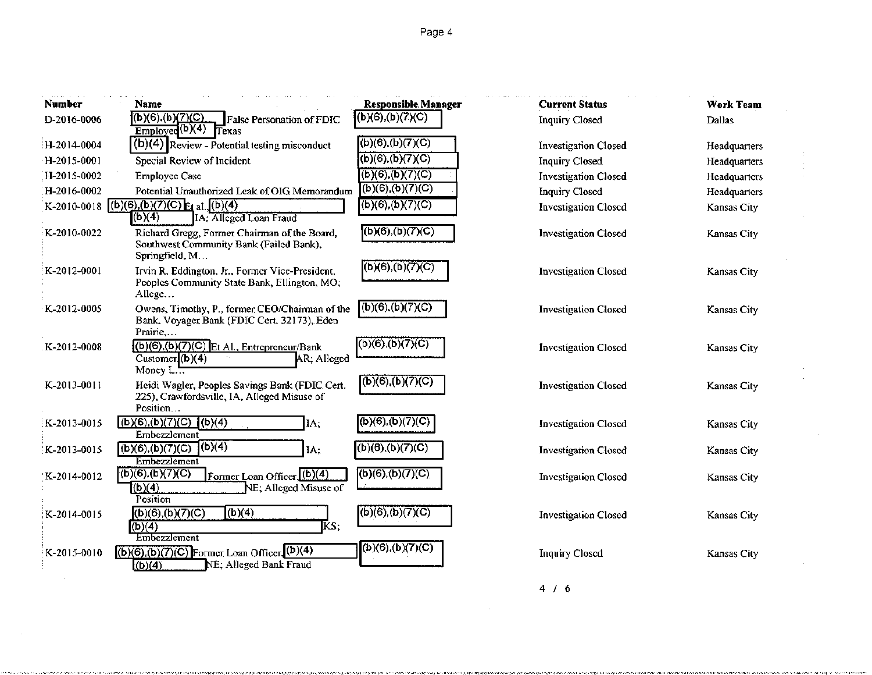Page 4

| Number      | Name                                                                                                        | <b>Responsible Manager</b>    | <b>Current Status</b>       | <b>Work Team</b> |
|-------------|-------------------------------------------------------------------------------------------------------------|-------------------------------|-----------------------------|------------------|
| D-2016-0006 | (b)(6).(b) <u>(7)(C)</u><br><b>False Personation of FDIC</b>                                                | (b)(6),(b)(7)(C)              | <b>Inquiry Closed</b>       | Dallas           |
|             | Emploved(b)(4)<br>Texas                                                                                     |                               |                             |                  |
| H-2014-0004 | $(b)(4)$ Review - Potential testing misconduct                                                              | $\overline{(b)(6),(b)(7)(C)}$ | Investigation Closed        | Headquarters     |
| H-2015-0001 | Special Review of Incident                                                                                  | $(b)(6)$ , $(b)(7)(C)$        | Inquiry Closed              | Headquarters     |
| H-2015-0002 | <b>Employee Case</b>                                                                                        | (b)(6),(b)(7)(C)              | <b>Investigation Closed</b> | Headquarters     |
| H-2016-0002 | Potential Unauthorized Leak of OIG Memorandum                                                               | (b)(6),(b)(7)(C)              | Inquiry Closed              | Headquarters     |
|             | K-2010-0018 (b)(6),(b)(7)(C) $E_1$ al. (b)(4)<br>(b)(4)<br>IA: Alleged Loan Fraud                           | (b)(6),(b)(7)(C)              | <b>Investigation Closed</b> | Kansas City      |
| K-2010-0022 | Richard Gregg, Former Chairman of the Board,<br>Southwest Community Bank (Failed Bank),<br>Springfield, M   | (b)(6),(b)(7)(C)              | Investigation Closed        | Kansas City      |
| K-2012-0001 | Irvin R. Eddington, Jr., Former Vice-President,<br>Peoples Community State Bank, Ellington, MO;<br>Allege   | (6)(6),(6)(7)(C)              | <b>Investigation Closed</b> | Kansas City      |
| K-2012-0005 | Owens, Timothy, P., former CEO/Chairman of the<br>Bank, Voyager Bank (FDIC Cert. 32173), Eden               | (b)(6),(b)(7)(C)              | <b>Investigation Closed</b> | Kansas City      |
| K-2012-0008 | Prairie<br>$(b)(6),(b)(7)(C)$ Et Al., Entrepreneur/Bank<br>Customer. $(b)(4)$<br>AR; Alleged<br>Money $L =$ | (b)(6),(b)(7)(C)              | Investigation Closed        | Kansas City      |
| K-2013-0011 | Heidi Wagler, Peoples Savings Bank (FDIC Cert.<br>225), Crawfordsville, IA, Alleged Misuse of<br>Position   | (b)(6),(b)(7)(C)              | <b>Investigation Closed</b> | Kansas City      |
| K-2013-0015 | $($ b)(6),(b)(7)(C)<br>(b)(4)<br>IA;<br>Embezzlement                                                        | (b)(6),(b)(7)(C)              | <b>Investigation Closed</b> | Kansas City      |
| K-2013-0015 | $\vert \vert$ (b)(4)<br>(b)(6),(b)(7)(C)<br>IA;<br>Embezzlement                                             | (b)(6),(b)(7)(C)              | <b>Investigation Closed</b> | Kansas City      |
| K-2014-0012 | (b)(6),(b)(7)(C) <br>Former Loan Officer (b)(4)<br>(b)(4)<br>NE; Alleged Misuse of<br>Position              | (b)(6),(b)(7)(C)              | <b>Investigation Closed</b> | Kansas City      |
| K-2014-0015 | (b)(4)<br>(b)(6),(b)(7)(C)<br>KS;<br>$\overline{(b)(4)}$                                                    | (b)(6),(b)(7)(C)              | <b>Investigation Closed</b> | Kansas City      |
| K-2015-0010 | Embezzlement<br>$(b)(6),(b)(7)(C)$ Former Loan Officer $(b)(4)$<br>NE; Alleged Bank Fraud<br>h(b)(4)        | (b)(6),(b)(7)(C)              | <b>Inquiry Closed</b>       | Kansas City      |

 $\mathcal{I}$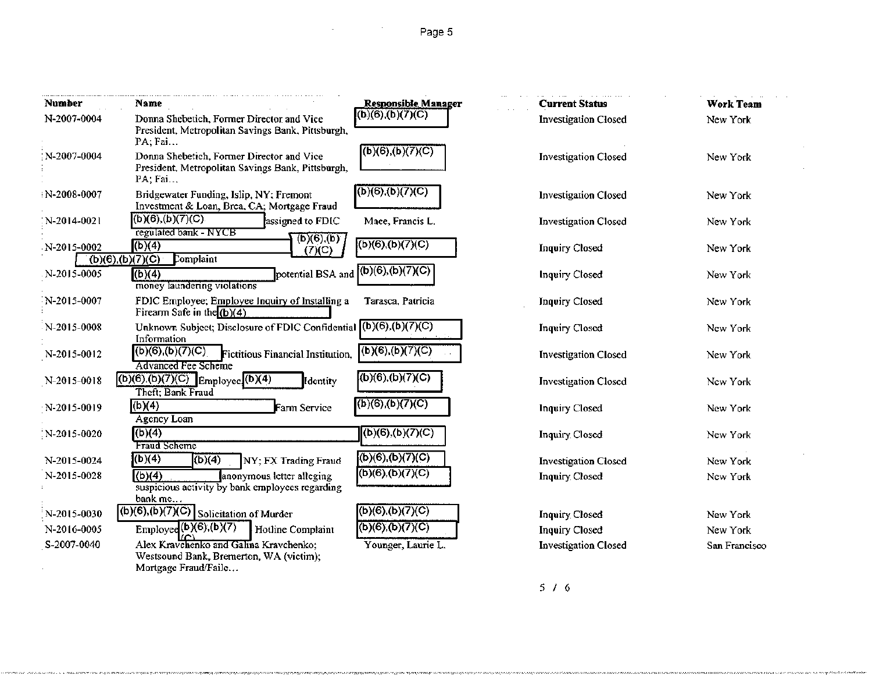### Page 5

 $\mathbb{Z}^2$ 

| <b>Number</b> | Name                                                                                                      | Responsible Manager    | <b>Current Status</b>       | <b>Work Team</b> |
|---------------|-----------------------------------------------------------------------------------------------------------|------------------------|-----------------------------|------------------|
| N-2007-0004   | Donna Shebetich, Former Director and Vice<br>President, Metropolitan Savings Bank, Pittsburgh,<br>PA; Fai | (b)(6),(b)(7)(C)       | Investigation Closed        | New York         |
| $N-2007-0004$ | Donna Shebetich, Former Director and Vice<br>President, Metropolitan Savings Bank, Pittsburgh,<br>PA; Fai | (6)(6),(b)(7)(C)       | <b>Investigation Closed</b> | New York         |
| N-2008-0007   | Bridgewater Funding, Islip, NY: Fremont<br>Investment & Loan, Brea, CA; Mortgage Fraud                    | (b)(6),(b)(7)(C)       | <b>Investigation Closed</b> | New York         |
| N-2014-0021:  | (b)(6),(b)(7)(C)<br>assigned to FDIC<br>regulated bank - NYCB                                             | Mace, Francis L.       | <b>Investigation Closed</b> | New York         |
| N-2015-0002   | $\overline{f(b)(e)'(p)}$<br>(b)(4)<br>(7)(C)<br>(b)(6),(b)(7)(C)<br>Complaint                             | (b)(6),(b)(7)(C)       | <b>Inquiry Closed</b>       | New York         |
| N-2015-0005   | potential BSA and<br>(b)(4)<br>money laundering violations                                                | (b)(6),(b)(7)(C)       | Inquiry Closed              | New York         |
| N-2015-0007   | FDIC Employee; Employee Inquiry of Installing a<br>Firearm Safe in the $(b)(4)$                           | Tarasca, Patricia      | <b>Inquiry Closed</b>       | New York         |
| N-2015-0008   | Unknown Subject; Disclosure of FDIC Confidential $(1)(6)(6)(7)(C)$<br>Information                         |                        | <b>Inquiry Closed</b>       | New York         |
| N-2015-0012   | $\overline{(b)(6)}$ , $(b)(7)(C)$<br>Fictitious Financial Institution,<br>Advanced Fee Scheme             | (b)(6),(b)(7)(C)       | <b>Investigation Closed</b> | New York         |
| N-2015-0018   | $(b)(6),(b)(7)(C)$ Employee $(b)(4)$<br>Identity<br>Theft: Bank Fraud                                     | (b)(6),(b)(7)(C)       | <b>Investigation Closed</b> | New York         |
| N-2015-0019   | (b)(4)<br>Farm Service<br>Agency Loan                                                                     | $(b)(6)$ , $(b)(7)(C)$ | Inquiry Closed              | New York         |
| N-2015-0020   | (b)(4)<br>Fraud Scheme                                                                                    | (b)(6),(b)(7)(C)       | Inquiry Closed              | New York         |
| N-2015-0024   | (b)(4)<br>$\sqrt{(b)(4)}$<br>NY; FX Trading Fraud                                                         | (b)(6),(b)(7)(C)       | <b>Investigation Closed</b> | New York         |
| N-2015-0028   | (b)(4)<br>anonymous letter alleging<br>suspicious activity by bank employees regarding<br>bank $me$       | (b)(6),(b)(7)(C)       | <b>Inquiry Closed</b>       | New York         |
| N-2015-0030   | $(6)(6),(b)(7)(C)$ Solicitation of Murder                                                                 | (b)(6),(b)(7)(C)       | <b>Inquiry Closed</b>       | New York         |
| N-2016-0005   | Employee $(b)(6), (b)(7)$<br>Hotline Complaint                                                            | (6)(6)(b)(7)(C)        | <b>Inquiry Closed</b>       | New York         |
| S-2007-0040   | Alex Kravchenko and Galina Kravchenko;<br>Westsound Bank, Bremerton, WA (victim);                         | Younger, Laurie L.     | <b>Investigation Closed</b> | San Francisco    |
|               | Mortgage Fraud/Faile                                                                                      |                        |                             |                  |

### 5 I 6